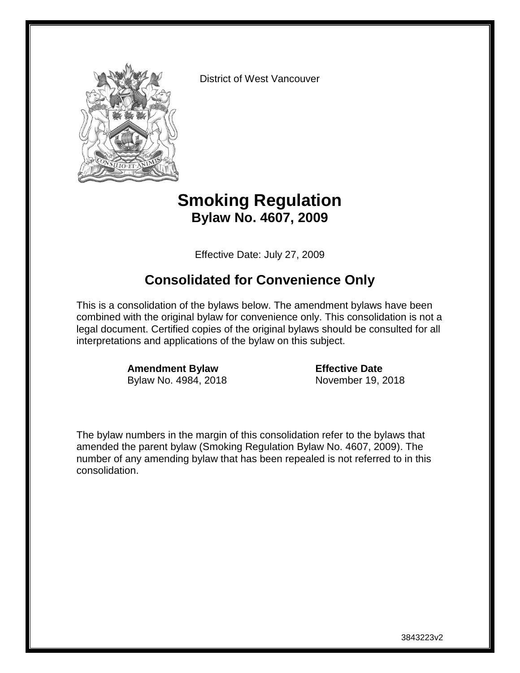

District of West Vancouver

### **Smoking Regulation Bylaw No. 4607, 2009**

Effective Date: July 27, 2009

### **Consolidated for Convenience Only**

This is a consolidation of the bylaws below. The amendment bylaws have been combined with the original bylaw for convenience only. This consolidation is not a legal document. Certified copies of the original bylaws should be consulted for all interpretations and applications of the bylaw on this subject.

> **Amendment Bylaw Effective Date** Bylaw No. 4984, 2018 November 19, 2018

The bylaw numbers in the margin of this consolidation refer to the bylaws that amended the parent bylaw (Smoking Regulation Bylaw No. 4607, 2009). The number of any amending bylaw that has been repealed is not referred to in this consolidation.

3843223v2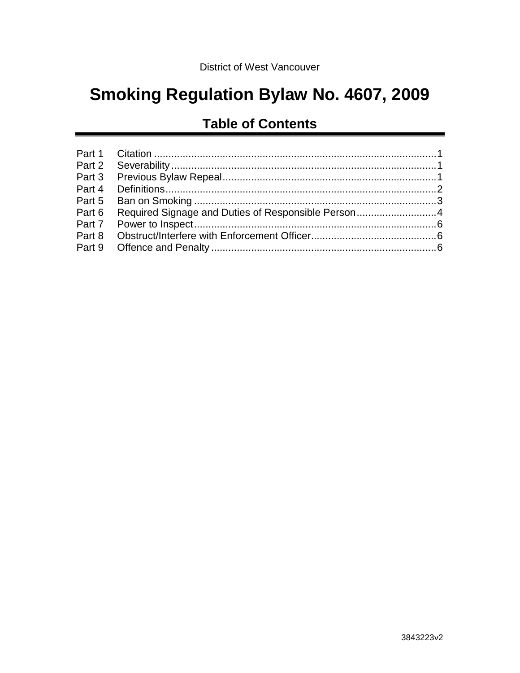# **Smoking Regulation Bylaw No. 4607, 2009**

## **Table of Contents**

| Part 6 Required Signage and Duties of Responsible Person4 |  |
|-----------------------------------------------------------|--|
|                                                           |  |
|                                                           |  |
|                                                           |  |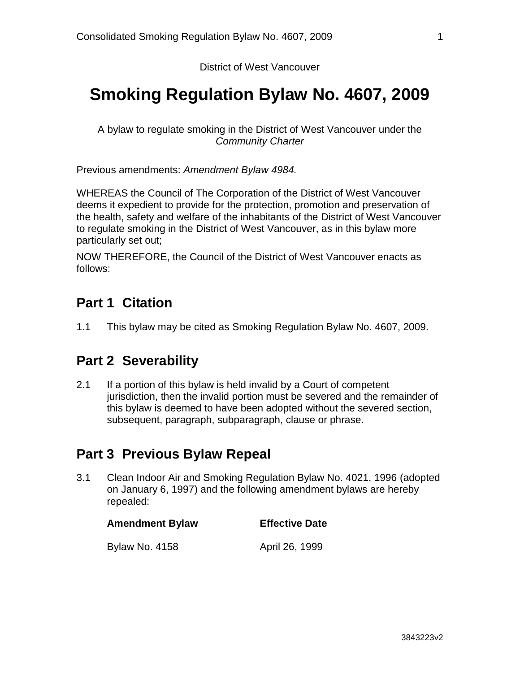#### District of West Vancouver

## **Smoking Regulation Bylaw No. 4607, 2009**

A bylaw to regulate smoking in the District of West Vancouver under the *Community Charter*

Previous amendments: *Amendment Bylaw 4984.*

WHEREAS the Council of The Corporation of the District of West Vancouver deems it expedient to provide for the protection, promotion and preservation of the health, safety and welfare of the inhabitants of the District of West Vancouver to regulate smoking in the District of West Vancouver, as in this bylaw more particularly set out;

NOW THEREFORE, the Council of the District of West Vancouver enacts as follows:

### <span id="page-2-0"></span>**Part 1 Citation**

1.1 This bylaw may be cited as Smoking Regulation Bylaw No. 4607, 2009.

#### <span id="page-2-1"></span>**Part 2 Severability**

2.1 If a portion of this bylaw is held invalid by a Court of competent jurisdiction, then the invalid portion must be severed and the remainder of this bylaw is deemed to have been adopted without the severed section, subsequent, paragraph, subparagraph, clause or phrase.

#### <span id="page-2-2"></span>**Part 3 Previous Bylaw Repeal**

3.1 Clean Indoor Air and Smoking Regulation Bylaw No. 4021, 1996 (adopted on January 6, 1997) and the following amendment bylaws are hereby repealed:

| <b>Amendment Bylaw</b> | <b>Effective Date</b> |
|------------------------|-----------------------|
| <b>Bylaw No. 4158</b>  | April 26, 1999        |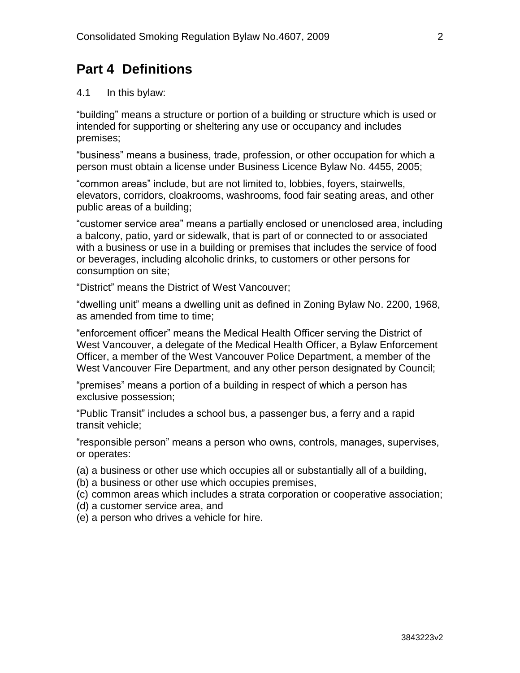### <span id="page-3-0"></span>**Part 4 Definitions**

#### 4.1 In this bylaw:

"building" means a structure or portion of a building or structure which is used or intended for supporting or sheltering any use or occupancy and includes premises;

"business" means a business, trade, profession, or other occupation for which a person must obtain a license under Business Licence Bylaw No. 4455, 2005;

"common areas" include, but are not limited to, lobbies, foyers, stairwells, elevators, corridors, cloakrooms, washrooms, food fair seating areas, and other public areas of a building;

"customer service area" means a partially enclosed or unenclosed area, including a balcony, patio, yard or sidewalk, that is part of or connected to or associated with a business or use in a building or premises that includes the service of food or beverages, including alcoholic drinks, to customers or other persons for consumption on site;

"District" means the District of West Vancouver;

"dwelling unit" means a dwelling unit as defined in Zoning Bylaw No. 2200, 1968, as amended from time to time;

"enforcement officer" means the Medical Health Officer serving the District of West Vancouver, a delegate of the Medical Health Officer, a Bylaw Enforcement Officer, a member of the West Vancouver Police Department, a member of the West Vancouver Fire Department, and any other person designated by Council;

"premises" means a portion of a building in respect of which a person has exclusive possession;

"Public Transit" includes a school bus, a passenger bus, a ferry and a rapid transit vehicle;

"responsible person" means a person who owns, controls, manages, supervises, or operates:

- (a) a business or other use which occupies all or substantially all of a building,
- (b) a business or other use which occupies premises,
- (c) common areas which includes a strata corporation or cooperative association;
- (d) a customer service area, and
- (e) a person who drives a vehicle for hire.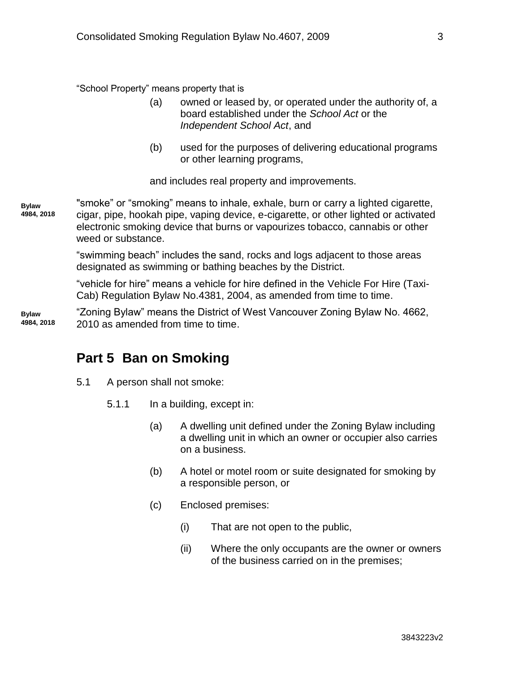"School Property" means property that is

- (a) owned or leased by, or operated under the authority of, a board established under the *School Act* or the *Independent School Act*, and
- (b) used for the purposes of delivering educational programs or other learning programs,

and includes real property and improvements.

"smoke" or "smoking" means to inhale, exhale, burn or carry a lighted cigarette, cigar, pipe, hookah pipe, vaping device, e-cigarette, or other lighted or activated electronic smoking device that burns or vapourizes tobacco, cannabis or other weed or substance. **Bylaw 4984, 2018**

> "swimming beach" includes the sand, rocks and logs adjacent to those areas designated as swimming or bathing beaches by the District.

"vehicle for hire" means a vehicle for hire defined in the Vehicle For Hire (Taxi-Cab) Regulation Bylaw No.4381, 2004, as amended from time to time.

"Zoning Bylaw" means the District of West Vancouver Zoning Bylaw No. 4662, 2010 as amended from time to time. **Bylaw 4984, 2018**

#### <span id="page-4-0"></span>**Part 5 Ban on Smoking**

- 5.1 A person shall not smoke:
	- 5.1.1 In a building, except in:
		- (a) A dwelling unit defined under the Zoning Bylaw including a dwelling unit in which an owner or occupier also carries on a business.
		- (b) A hotel or motel room or suite designated for smoking by a responsible person, or
		- (c) Enclosed premises:
			- (i) That are not open to the public,
			- (ii) Where the only occupants are the owner or owners of the business carried on in the premises;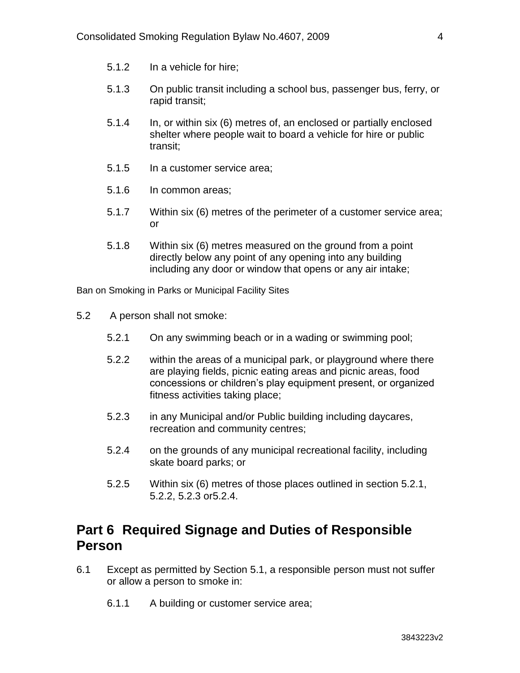- 5.1.2 In a vehicle for hire;
- 5.1.3 On public transit including a school bus, passenger bus, ferry, or rapid transit;
- 5.1.4 In, or within six (6) metres of, an enclosed or partially enclosed shelter where people wait to board a vehicle for hire or public transit;
- 5.1.5 In a customer service area;
- 5.1.6 In common areas;
- 5.1.7 Within six (6) metres of the perimeter of a customer service area; or
- 5.1.8 Within six (6) metres measured on the ground from a point directly below any point of any opening into any building including any door or window that opens or any air intake;

Ban on Smoking in Parks or Municipal Facility Sites

- 5.2 A person shall not smoke:
	- 5.2.1 On any swimming beach or in a wading or swimming pool;
	- 5.2.2 within the areas of a municipal park, or playground where there are playing fields, picnic eating areas and picnic areas, food concessions or children's play equipment present, or organized fitness activities taking place;
	- 5.2.3 in any Municipal and/or Public building including daycares, recreation and community centres;
	- 5.2.4 on the grounds of any municipal recreational facility, including skate board parks; or
	- 5.2.5 Within six (6) metres of those places outlined in section 5.2.1, 5.2.2, 5.2.3 or5.2.4.

#### <span id="page-5-0"></span>**Part 6 Required Signage and Duties of Responsible Person**

- 6.1 Except as permitted by Section 5.1, a responsible person must not suffer or allow a person to smoke in:
	- 6.1.1 A building or customer service area;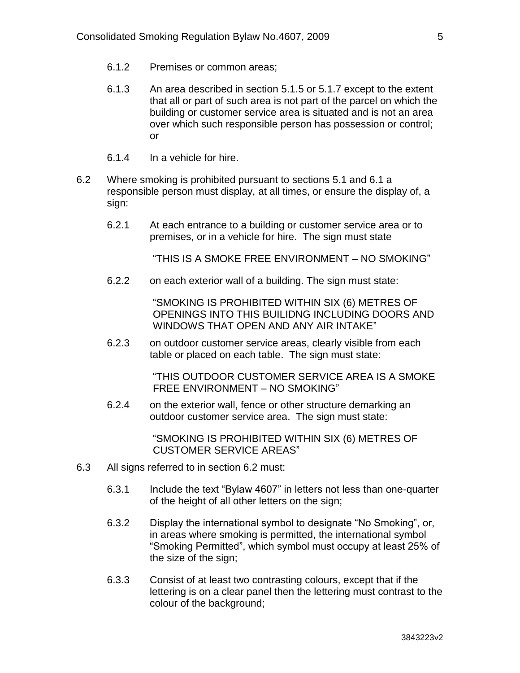- 6.1.2 Premises or common areas;
- 6.1.3 An area described in section 5.1.5 or 5.1.7 except to the extent that all or part of such area is not part of the parcel on which the building or customer service area is situated and is not an area over which such responsible person has possession or control; or
- 6.1.4 In a vehicle for hire.
- 6.2 Where smoking is prohibited pursuant to sections 5.1 and 6.1 a responsible person must display, at all times, or ensure the display of, a sign:
	- 6.2.1 At each entrance to a building or customer service area or to premises, or in a vehicle for hire. The sign must state

"THIS IS A SMOKE FREE ENVIRONMENT – NO SMOKING"

6.2.2 on each exterior wall of a building. The sign must state:

"SMOKING IS PROHIBITED WITHIN SIX (6) METRES OF OPENINGS INTO THIS BUILIDNG INCLUDING DOORS AND WINDOWS THAT OPEN AND ANY AIR INTAKE"

6.2.3 on outdoor customer service areas, clearly visible from each table or placed on each table. The sign must state:

> "THIS OUTDOOR CUSTOMER SERVICE AREA IS A SMOKE FREE ENVIRONMENT – NO SMOKING"

6.2.4 on the exterior wall, fence or other structure demarking an outdoor customer service area. The sign must state:

> "SMOKING IS PROHIBITED WITHIN SIX (6) METRES OF CUSTOMER SERVICE AREAS"

- 6.3 All signs referred to in section 6.2 must:
	- 6.3.1 Include the text "Bylaw 4607" in letters not less than one-quarter of the height of all other letters on the sign;
	- 6.3.2 Display the international symbol to designate "No Smoking", or, in areas where smoking is permitted, the international symbol "Smoking Permitted", which symbol must occupy at least 25% of the size of the sign;
	- 6.3.3 Consist of at least two contrasting colours, except that if the lettering is on a clear panel then the lettering must contrast to the colour of the background;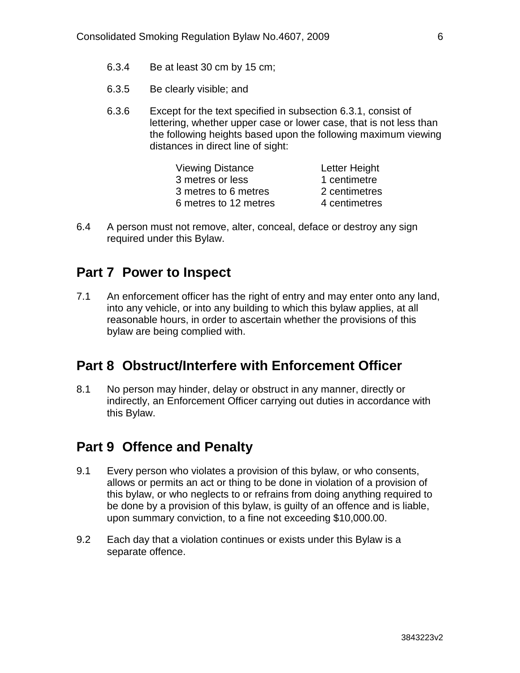- 6.3.4 Be at least 30 cm by 15 cm;
- 6.3.5 Be clearly visible; and
- 6.3.6 Except for the text specified in subsection 6.3.1, consist of lettering, whether upper case or lower case, that is not less than the following heights based upon the following maximum viewing distances in direct line of sight:

| Letter Height |
|---------------|
| 1 centimetre  |
| 2 centimetres |
| 4 centimetres |
|               |

6.4 A person must not remove, alter, conceal, deface or destroy any sign required under this Bylaw.

#### <span id="page-7-0"></span>**Part 7 Power to Inspect**

7.1 An enforcement officer has the right of entry and may enter onto any land, into any vehicle, or into any building to which this bylaw applies, at all reasonable hours, in order to ascertain whether the provisions of this bylaw are being complied with.

#### <span id="page-7-1"></span>**Part 8 Obstruct/Interfere with Enforcement Officer**

8.1 No person may hinder, delay or obstruct in any manner, directly or indirectly, an Enforcement Officer carrying out duties in accordance with this Bylaw.

#### <span id="page-7-2"></span>**Part 9 Offence and Penalty**

- 9.1 Every person who violates a provision of this bylaw, or who consents, allows or permits an act or thing to be done in violation of a provision of this bylaw, or who neglects to or refrains from doing anything required to be done by a provision of this bylaw, is guilty of an offence and is liable, upon summary conviction, to a fine not exceeding \$10,000.00.
- 9.2 Each day that a violation continues or exists under this Bylaw is a separate offence.